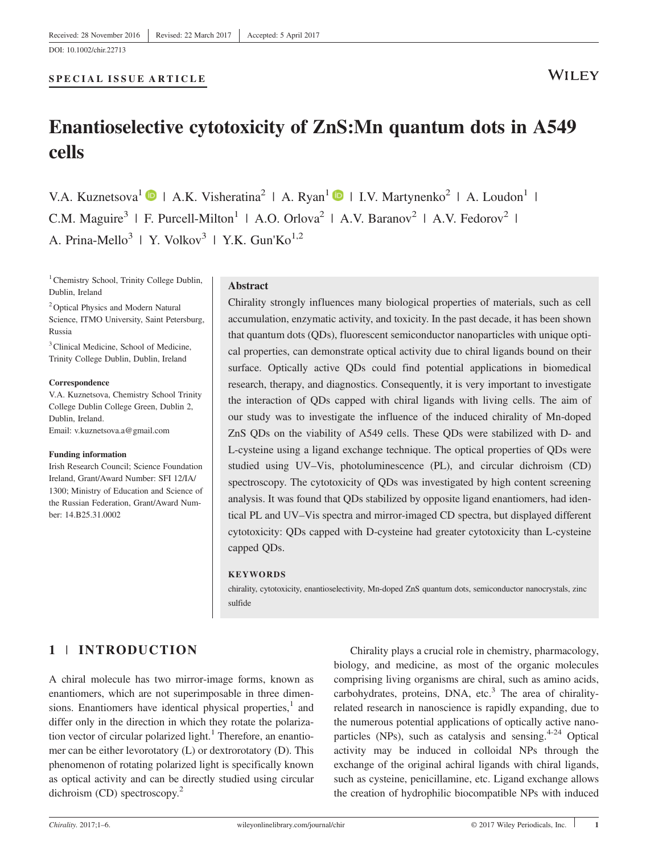#### SPECIAL ISSUE ARTICLE

# Enantioselective cytotoxicity of ZnS:Mn quantum dots in A549 cells

V.A. Kuznetsova<sup>1</sup> | A.K. Visheratina<sup>2</sup> | A. Ryan<sup>1</sup> | I.V. Martynenko<sup>2</sup> | A. Loudon<sup>1</sup> | C.M. Maguire<sup>3</sup> | F. Purcell-Milton<sup>1</sup> | A.O. Orlova<sup>2</sup> | A.V. Baranov<sup>2</sup> | A.V. Fedorov<sup>2</sup> | A. Prina-Mello<sup>3</sup> | Y. Volkov<sup>3</sup> | Y.K. Gun'Ko<sup>1,2</sup>

<sup>1</sup> Chemistry School, Trinity College Dublin, Dublin, Ireland

2Optical Physics and Modern Natural Science, ITMO University, Saint Petersburg, Russia

<sup>3</sup>Clinical Medicine, School of Medicine, Trinity College Dublin, Dublin, Ireland

#### Correspondence

V.A. Kuznetsova, Chemistry School Trinity College Dublin College Green, Dublin 2, Dublin, Ireland. Email: [v.kuznetsova.a@gmail.com](mailto:v.kuznetsova.a@gmail.com)

#### Funding information

Irish Research Council; Science Foundation Ireland, Grant/Award Number: SFI 12/IA/ 1300; Ministry of Education and Science of the Russian Federation, Grant/Award Number: 14.B25.31.0002

#### Abstract

Chirality strongly influences many biological properties of materials, such as cell accumulation, enzymatic activity, and toxicity. In the past decade, it has been shown that quantum dots (QDs), fluorescent semiconductor nanoparticles with unique optical properties, can demonstrate optical activity due to chiral ligands bound on their surface. Optically active QDs could find potential applications in biomedical research, therapy, and diagnostics. Consequently, it is very important to investigate the interaction of QDs capped with chiral ligands with living cells. The aim of our study was to investigate the influence of the induced chirality of Mn‐doped ZnS QDs on the viability of A549 cells. These QDs were stabilized with D‐ and L‐cysteine using a ligand exchange technique. The optical properties of QDs were studied using UV–Vis, photoluminescence (PL), and circular dichroism (CD) spectroscopy. The cytotoxicity of QDs was investigated by high content screening analysis. It was found that QDs stabilized by opposite ligand enantiomers, had identical PL and UV–Vis spectra and mirror‐imaged CD spectra, but displayed different cytotoxicity: QDs capped with D‐cysteine had greater cytotoxicity than L‐cysteine capped QDs.

#### **KEYWORDS**

chirality, cytotoxicity, enantioselectivity, Mn‐doped ZnS quantum dots, semiconductor nanocrystals, zinс sulfide

# 1 | INTRODUCTION

A chiral molecule has two mirror‐image forms, known as enantiomers, which are not superimposable in three dimensions. Enantiomers have identical physical properties, $<sup>1</sup>$  and</sup> differ only in the direction in which they rotate the polarization vector of circular polarized light.<sup>1</sup> Therefore, an enantiomer can be either levorotatory (L) or dextrorotatory (D). This phenomenon of rotating polarized light is specifically known as optical activity and can be directly studied using circular dichroism (CD) spectroscopy.<sup>2</sup>

Chirality plays a crucial role in chemistry, pharmacology, biology, and medicine, as most of the organic molecules comprising living organisms are chiral, such as amino acids, carbohydrates, proteins, DNA, etc. $3$  The area of chiralityrelated research in nanoscience is rapidly expanding, due to the numerous potential applications of optically active nanoparticles (NPs), such as catalysis and sensing. $4-24$  Optical activity may be induced in colloidal NPs through the exchange of the original achiral ligands with chiral ligands, such as cysteine, penicillamine, etc. Ligand exchange allows the creation of hydrophilic biocompatible NPs with induced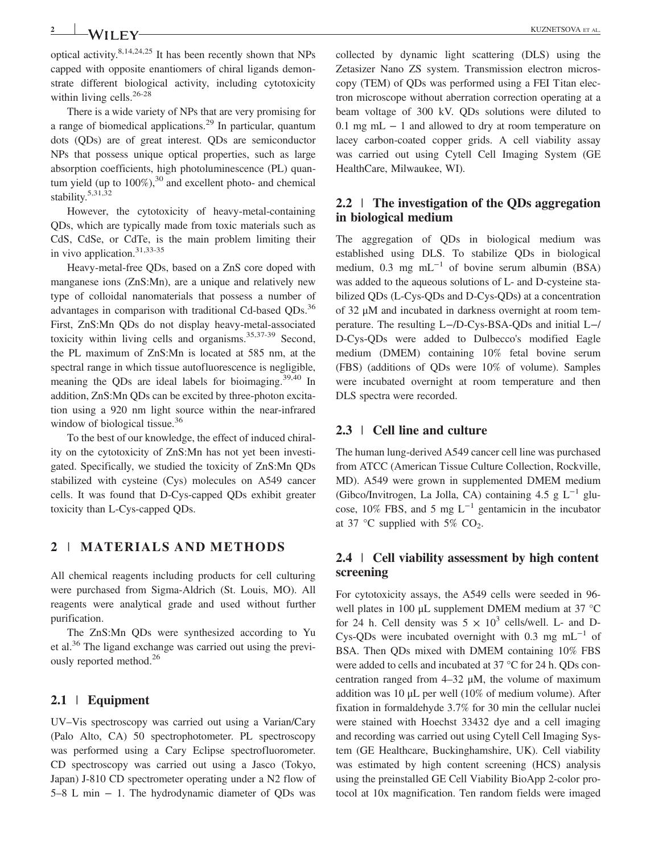2 KUZNETSOVA ET AL.

optical activity.8,14,24,25 It has been recently shown that NPs capped with opposite enantiomers of chiral ligands demonstrate different biological activity, including cytotoxicity within living cells.<sup>26-28</sup>

There is a wide variety of NPs that are very promising for a range of biomedical applications.<sup>29</sup> In particular, quantum dots (QDs) are of great interest. QDs are semiconductor NPs that possess unique optical properties, such as large absorption coefficients, high photoluminescence (PL) quantum yield (up to  $100\%$ ),<sup>30</sup> and excellent photo- and chemical stability.5,31,32

However, the cytotoxicity of heavy-metal-containing QDs, which are typically made from toxic materials such as CdS, CdSe, or CdTe, is the main problem limiting their in vivo application.<sup>31,33-35</sup>

Heavy‐metal‐free QDs, based on a ZnS core doped with manganese ions (ZnS:Mn), are a unique and relatively new type of colloidal nanomaterials that possess a number of advantages in comparison with traditional Cd-based ODs.<sup>36</sup> First, ZnS:Mn QDs do not display heavy‐metal‐associated toxicity within living cells and organisms. $35,37-39$  Second, the PL maximum of ZnS:Mn is located at 585 nm, at the spectral range in which tissue autofluorescence is negligible, meaning the QDs are ideal labels for bioimaging.39,40 In addition, ZnS:Mn QDs can be excited by three‐photon excitation using a 920 nm light source within the near-infrared window of biological tissue.<sup>36</sup>

To the best of our knowledge, the effect of induced chirality on the cytotoxicity of ZnS:Mn has not yet been investigated. Specifically, we studied the toxicity of ZnS:Mn QDs stabilized with cysteine (Cys) molecules on A549 cancer cells. It was found that D‐Cys‐capped QDs exhibit greater toxicity than L‐Cys‐capped QDs.

# 2 | MATERIALS AND METHODS

All chemical reagents including products for cell culturing were purchased from Sigma‐Aldrich (St. Louis, MO). All reagents were analytical grade and used without further purification.

The ZnS:Mn QDs were synthesized according to Yu et al.<sup>36</sup> The ligand exchange was carried out using the previously reported method.<sup>26</sup>

#### 2.1 | Equipment

UV–Vis spectroscopy was carried out using a Varian/Cary (Palo Alto, CA) 50 spectrophotometer. PL spectroscopy was performed using a Cary Eclipse spectrofluorometer. CD spectroscopy was carried out using a Jasco (Tokyo, Japan) J‐810 CD spectrometer operating under a N2 flow of 5–8 L min − 1. The hydrodynamic diameter of QDs was collected by dynamic light scattering (DLS) using the Zetasizer Nano ZS system. Transmission electron microscopy (TEM) of QDs was performed using a FEI Titan electron microscope without aberration correction operating at a beam voltage of 300 kV. QDs solutions were diluted to 0.1 mg mL − 1 and allowed to dry at room temperature on lacey carbon‐coated copper grids. A cell viability assay was carried out using Cytell Cell Imaging System (GE HealthCare, Milwaukee, WI).

#### 2.2 | The investigation of the QDs aggregation in biological medium

The aggregation of QDs in biological medium was established using DLS. To stabilize QDs in biological medium, 0.3 mg mL<sup>-1</sup> of bovine serum albumin (BSA) was added to the aqueous solutions of L‐ and D‐cysteine stabilized QDs (L‐Cys‐QDs and D‐Cys‐QDs) at a concentration of 32 μM and incubated in darkness overnight at room temperature. The resulting L−/D‐Cys‐BSA‐QDs and initial L−/ D‐Cys‐QDs were added to Dulbecco's modified Eagle medium (DMEM) containing 10% fetal bovine serum (FBS) (additions of QDs were 10% of volume). Samples were incubated overnight at room temperature and then DLS spectra were recorded.

#### 2.3 | Cell line and culture

The human lung‐derived A549 cancer cell line was purchased from ATCC (American Tissue Culture Collection, Rockville, MD). A549 were grown in supplemented DMEM medium (Gibco/Invitrogen, La Jolla, CA) containing 4.5 g  $L^{-1}$  glucose, 10% FBS, and 5 mg  $L^{-1}$  gentamicin in the incubator at 37 °C supplied with 5%  $CO<sub>2</sub>$ .

#### 2.4 | Cell viability assessment by high content screening

For cytotoxicity assays, the A549 cells were seeded in 96‐ well plates in 100 μL supplement DMEM medium at 37 °C for 24 h. Cell density was  $5 \times 10^3$  cells/well. L- and D-Cys-QDs were incubated overnight with 0.3 mg mL<sup> $-1$ </sup> of BSA. Then QDs mixed with DMEM containing 10% FBS were added to cells and incubated at 37 °C for 24 h. QDs concentration ranged from  $4-32 \mu M$ , the volume of maximum addition was 10 μL per well (10% of medium volume). After fixation in formaldehyde 3.7% for 30 min the cellular nuclei were stained with Hoechst 33432 dye and a cell imaging and recording was carried out using Cytell Cell Imaging System (GE Healthcare, Buckinghamshire, UK). Cell viability was estimated by high content screening (HCS) analysis using the preinstalled GE Cell Viability BioApp 2‐color protocol at 10x magnification. Ten random fields were imaged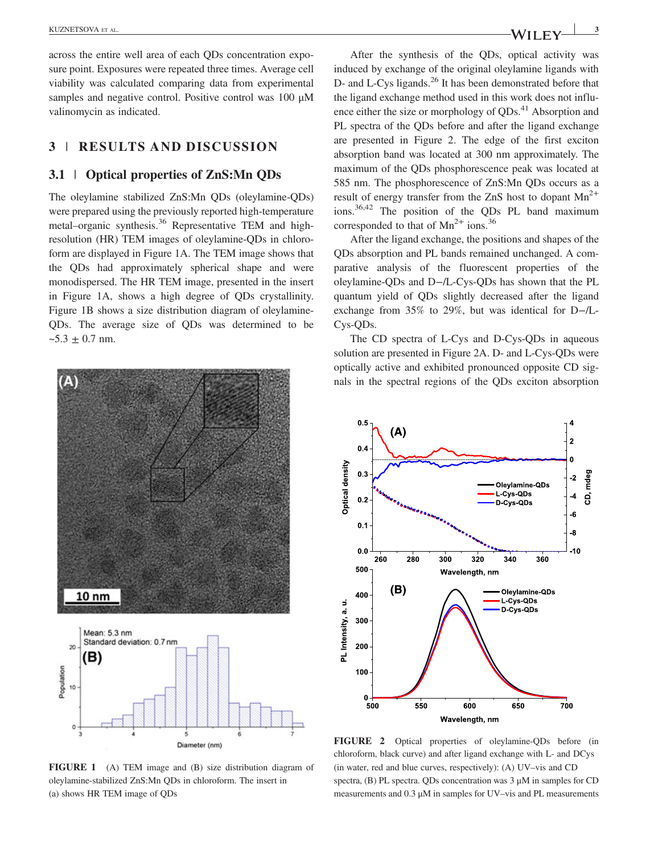across the entire well area of each QDs concentration exposure point. Exposures were repeated three times. Average cell viability was calculated comparing data from experimental samples and negative control. Positive control was 100 μM valinomycin as indicated.

# 3 | RESULTS AND DISCUSSION

#### 3.1 | Optical properties of ZnS:Mn QDs

The oleylamine stabilized ZnS:Mn QDs (oleylamine‐QDs) were prepared using the previously reported high-temperature metal–organic synthesis.<sup>36</sup> Representative TEM and highresolution (HR) TEM images of oleylamine‐QDs in chloroform are displayed in Figure 1A. The TEM image shows that the QDs had approximately spherical shape and were monodispersed. The HR TEM image, presented in the insert in Figure 1A, shows a high degree of QDs crystallinity. Figure 1B shows a size distribution diagram of oleylamine-QDs. The average size of QDs was determined to be  $~5.3 \pm 0.7$  nm.



FIGURE 1 (A) TEM image and (B) size distribution diagram of oleylamine‐stabilized ZnS:Mn QDs in chloroform. The insert in (a) shows HR TEM image of QDs

After the synthesis of the QDs, optical activity was induced by exchange of the original oleylamine ligands with D- and L-Cys ligands.<sup>26</sup> It has been demonstrated before that the ligand exchange method used in this work does not influence either the size or morphology of  $ODs<sup>41</sup>$  Absorption and PL spectra of the QDs before and after the ligand exchange are presented in Figure 2. The edge of the first exciton absorption band was located at 300 nm approximately. The maximum of the QDs phosphorescence peak was located at 585 nm. The phosphorescence of ZnS:Mn QDs occurs as a result of energy transfer from the ZnS host to dopant  $Mn^{2+}$ ions.36,42 The position of the QDs PL band maximum corresponded to that of  $Mn^{2+}$  ions.<sup>36</sup>

After the ligand exchange, the positions and shapes of the QDs absorption and PL bands remained unchanged. A comparative analysis of the fluorescent properties of the oleylamine‐QDs and D−/L‐Cys‐QDs has shown that the PL quantum yield of QDs slightly decreased after the ligand exchange from 35% to 29%, but was identical for D−/L‐ Cys‐QDs.

The CD spectra of L-Cys and D-Cys-QDs in aqueous solution are presented in Figure 2A. D- and L-Cys-ODs were optically active and exhibited pronounced opposite CD signals in the spectral regions of the QDs exciton absorption



FIGURE 2 Optical properties of oleylamine‐QDs before (in chloroform, black curve) and after ligand exchange with L‐ and DCys (in water, red and blue curves, respectively): (A) UV–vis and CD spectra, (B) PL spectra. QDs concentration was 3 μM in samples for CD measurements and 0.3 μM in samples for UV–vis and PL measurements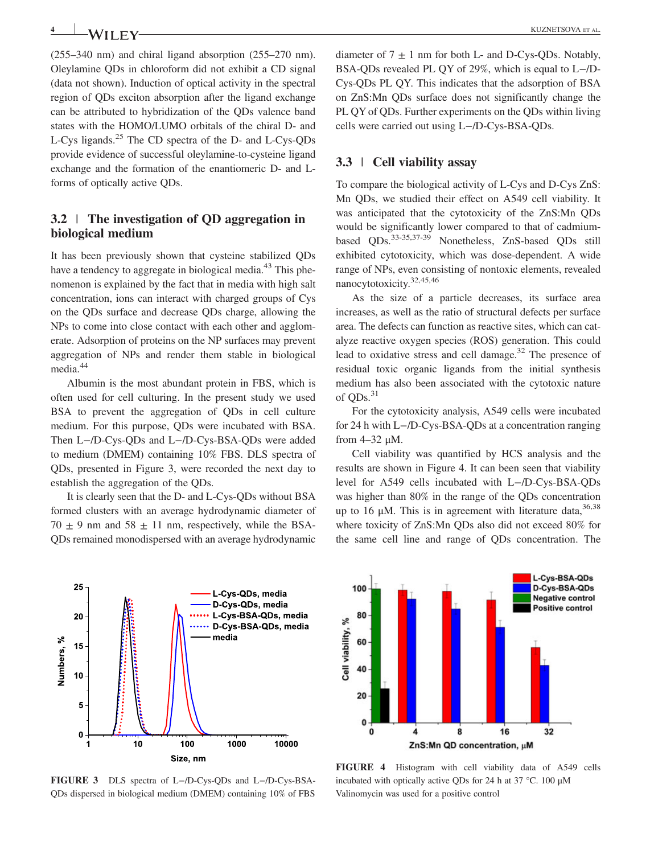**4 I A***I* **I F V** 

(255–340 nm) and chiral ligand absorption (255–270 nm). Oleylamine QDs in chloroform did not exhibit a CD signal (data not shown). Induction of optical activity in the spectral region of QDs exciton absorption after the ligand exchange can be attributed to hybridization of the QDs valence band states with the HOMO/LUMO orbitals of the chiral D‐ and L‐Cys ligands.<sup>25</sup> The CD spectra of the D‐ and L‐Cys‐QDs provide evidence of successful oleylamine‐to‐cysteine ligand exchange and the formation of the enantiomeric D‐ and L‐ forms of optically active QDs.

# 3.2 | The investigation of QD aggregation in biological medium

It has been previously shown that cysteine stabilized QDs have a tendency to aggregate in biological media.<sup>43</sup> This phenomenon is explained by the fact that in media with high salt concentration, ions can interact with charged groups of Cys on the QDs surface and decrease QDs charge, allowing the NPs to come into close contact with each other and agglomerate. Adsorption of proteins on the NP surfaces may prevent aggregation of NPs and render them stable in biological media.<sup>44</sup>

Albumin is the most abundant protein in FBS, which is often used for cell culturing. In the present study we used BSA to prevent the aggregation of QDs in cell culture medium. For this purpose, QDs were incubated with BSA. Then L−/D‐Cys‐QDs and L−/D‐Cys‐BSA‐QDs were added to medium (DMEM) containing 10% FBS. DLS spectra of QDs, presented in Figure 3, were recorded the next day to establish the aggregation of the QDs.

It is clearly seen that the D‐ and L‐Cys‐QDs without BSA formed clusters with an average hydrodynamic diameter of  $70 \pm 9$  nm and  $58 \pm 11$  nm, respectively, while the BSA-QDs remained monodispersed with an average hydrodynamic



diameter of  $7 \pm 1$  nm for both L- and D-Cys-QDs. Notably, BSA‐QDs revealed PL QY of 29%, which is equal to L−/D‐ Cys‐QDs PL QY. This indicates that the adsorption of BSA on ZnS:Mn QDs surface does not significantly change the PL QY of QDs. Further experiments on the QDs within living cells were carried out using L−/D‐Cys‐BSA‐QDs.

#### 3.3 | Cell viability assay

To compare the biological activity of L‐Cys and D‐Cys ZnS: Mn QDs, we studied their effect on A549 cell viability. It was anticipated that the cytotoxicity of the ZnS:Mn QDs would be significantly lower compared to that of cadmiumbased QDs.33-35,37-39 Nonetheless, ZnS‐based QDs still exhibited cytotoxicity, which was dose‐dependent. A wide range of NPs, even consisting of nontoxic elements, revealed nanocytotoxicity.32,45,46

As the size of a particle decreases, its surface area increases, as well as the ratio of structural defects per surface area. The defects can function as reactive sites, which can catalyze reactive oxygen species (ROS) generation. This could lead to oxidative stress and cell damage.<sup>32</sup> The presence of residual toxic organic ligands from the initial synthesis medium has also been associated with the cytotoxic nature of  $ODs.<sup>31</sup>$ 

For the cytotoxicity analysis, A549 cells were incubated for 24 h with L−/D‐Cys‐BSA‐QDs at a concentration ranging from 4–32 μM.

Cell viability was quantified by HCS analysis and the results are shown in Figure 4. It can been seen that viability level for A549 cells incubated with L−/D‐Cys‐BSA‐QDs was higher than 80% in the range of the QDs concentration up to 16 μM. This is in agreement with literature data,  $36,38$ where toxicity of ZnS:Mn QDs also did not exceed 80% for the same cell line and range of QDs concentration. The



FIGURE 4 Histogram with cell viability data of A549 cells incubated with optically active QDs for 24 h at 37 °C. 100 μM Valinomycin was used for a positive control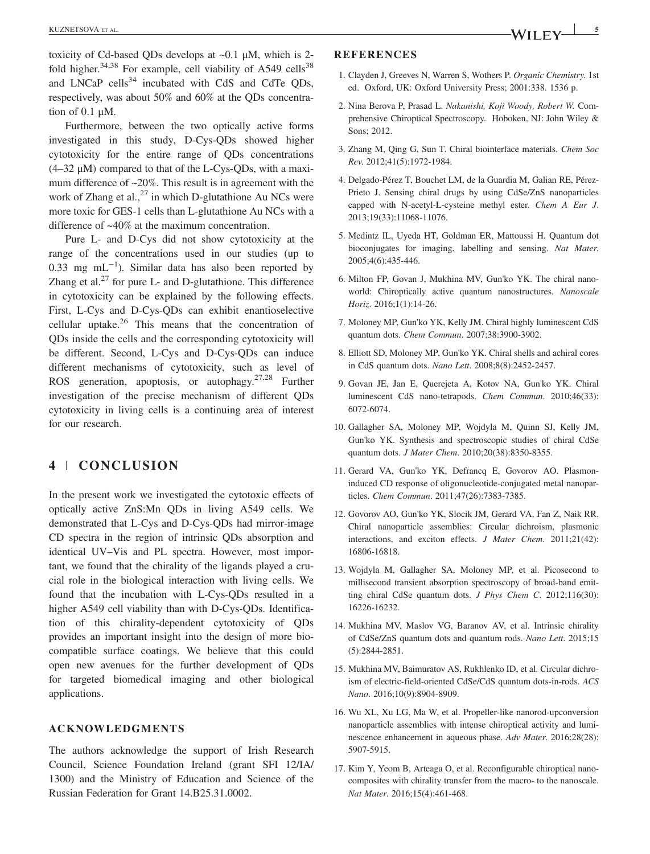toxicity of Cd-based QDs develops at  $\sim 0.1$   $\mu$ M, which is 2fold higher. $34,38$  For example, cell viability of A549 cells<sup>38</sup> and LNCaP cells $34$  incubated with CdS and CdTe ODs, respectively, was about 50% and 60% at the QDs concentration of 0.1 μM.

Furthermore, between the two optically active forms investigated in this study, D‐Cys‐QDs showed higher cytotoxicity for the entire range of QDs concentrations  $(4-32 \mu M)$  compared to that of the L-Cys-QDs, with a maximum difference of ~20%. This result is in agreement with the work of Zhang et al., $^{27}$  in which D-glutathione Au NCs were more toxic for GES‐1 cells than L‐glutathione Au NCs with a difference of ~40% at the maximum concentration.

Pure L‐ and D‐Cys did not show cytotoxicity at the range of the concentrations used in our studies (up to 0.33 mg mL−<sup>1</sup> ). Similar data has also been reported by Zhang et al. $27$  for pure L- and D-glutathione. This difference in cytotoxicity can be explained by the following effects. First, L‐Cys and D‐Cys‐QDs can exhibit enantioselective cellular uptake.26 This means that the concentration of QDs inside the cells and the corresponding cytotoxicity will be different. Second, L‐Cys and D‐Cys‐QDs can induce different mechanisms of cytotoxicity, such as level of ROS generation, apoptosis, or autophagy.27,28 Further investigation of the precise mechanism of different QDs cytotoxicity in living cells is a continuing area of interest for our research.

# 4 | CONCLUSION

In the present work we investigated the cytotoxic effects of optically active ZnS:Mn QDs in living A549 cells. We demonstrated that L‐Cys and D‐Cys‐QDs had mirror‐image CD spectra in the region of intrinsic QDs absorption and identical UV–Vis and PL spectra. However, most important, we found that the chirality of the ligands played a crucial role in the biological interaction with living cells. We found that the incubation with L‐Cys‐QDs resulted in a higher A549 cell viability than with D-Cys-ODs. Identification of this chirality‐dependent cytotoxicity of QDs provides an important insight into the design of more biocompatible surface coatings. We believe that this could open new avenues for the further development of QDs for targeted biomedical imaging and other biological applications.

#### ACKNOWLEDGMENTS

The authors acknowledge the support of Irish Research Council, Science Foundation Ireland (grant SFI 12/IA/ 1300) and the Ministry of Education and Science of the Russian Federation for Grant 14.B25.31.0002.

#### REFERENCES

- 1. Clayden J, Greeves N, Warren S, Wothers P. Organic Chemistry. 1st ed. Oxford, UK: Oxford University Press; 2001:338. 1536 p.
- 2. Nina Berova P, Prasad L. Nakanishi, Koji Woody, Robert W. Comprehensive Chiroptical Spectroscopy. Hoboken, NJ: John Wiley & Sons; 2012.
- 3. Zhang M, Qing G, Sun T. Chiral biointerface materials. Chem Soc Rev. 2012;41(5):1972‐1984.
- 4. Delgado‐Pérez T, Bouchet LM, de la Guardia M, Galian RE, Pérez‐ Prieto J. Sensing chiral drugs by using CdSe/ZnS nanoparticles capped with N‐acetyl‐L‐cysteine methyl ester. Chem A Eur J. 2013;19(33):11068‐11076.
- 5. Medintz IL, Uyeda HT, Goldman ER, Mattoussi H. Quantum dot bioconjugates for imaging, labelling and sensing. Nat Mater. 2005;4(6):435‐446.
- 6. Milton FP, Govan J, Mukhina MV, Gun'ko YK. The chiral nano‐ world: Chiroptically active quantum nanostructures. Nanoscale Horiz. 2016;1(1):14‐26.
- 7. Moloney MP, Gun'ko YK, Kelly JM. Chiral highly luminescent CdS quantum dots. Chem Commun. 2007;38:3900‐3902.
- 8. Elliott SD, Moloney MP, Gun'ko YK. Chiral shells and achiral cores in CdS quantum dots. Nano Lett. 2008;8(8):2452‐2457.
- 9. Govan JE, Jan E, Querejeta A, Kotov NA, Gun'ko YK. Chiral luminescent CdS nano‐tetrapods. Chem Commun. 2010;46(33): 6072‐6074.
- 10. Gallagher SA, Moloney MP, Wojdyla M, Quinn SJ, Kelly JM, Gun'ko YK. Synthesis and spectroscopic studies of chiral CdSe quantum dots. J Mater Chem. 2010;20(38):8350‐8355.
- 11. Gerard VA, Gun'ko YK, Defrancq E, Govorov AO. Plasmon‐ induced CD response of oligonucleotide‐conjugated metal nanoparticles. Chem Commun. 2011;47(26):7383‐7385.
- 12. Govorov AO, Gun'ko YK, Slocik JM, Gerard VA, Fan Z, Naik RR. Chiral nanoparticle assemblies: Circular dichroism, plasmonic interactions, and exciton effects. J Mater Chem. 2011;21(42): 16806‐16818.
- 13. Wojdyla M, Gallagher SA, Moloney MP, et al. Picosecond to millisecond transient absorption spectroscopy of broad‐band emitting chiral CdSe quantum dots. J Phys Chem C. 2012;116(30): 16226‐16232.
- 14. Mukhina MV, Maslov VG, Baranov AV, et al. Intrinsic chirality of CdSe/ZnS quantum dots and quantum rods. Nano Lett. 2015;15 (5):2844‐2851.
- 15. Mukhina MV, Baimuratov AS, Rukhlenko ID, et al. Circular dichroism of electric‐field‐oriented CdSe/CdS quantum dots‐in‐rods. ACS Nano. 2016;10(9):8904‐8909.
- 16. Wu XL, Xu LG, Ma W, et al. Propeller‐like nanorod‐upconversion nanoparticle assemblies with intense chiroptical activity and luminescence enhancement in aqueous phase. Adv Mater. 2016;28(28): 5907‐5915.
- 17. Kim Y, Yeom B, Arteaga O, et al. Reconfigurable chiroptical nanocomposites with chirality transfer from the macro‐ to the nanoscale. Nat Mater. 2016;15(4):461‐468.